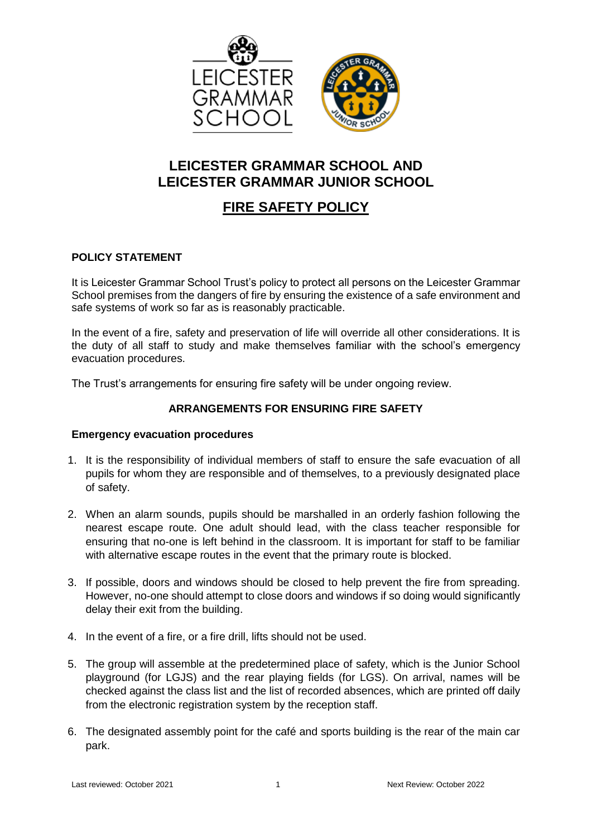

## **LEICESTER GRAMMAR SCHOOL AND LEICESTER GRAMMAR JUNIOR SCHOOL**

# **FIRE SAFETY POLICY**

## **POLICY STATEMENT**

It is Leicester Grammar School Trust's policy to protect all persons on the Leicester Grammar School premises from the dangers of fire by ensuring the existence of a safe environment and safe systems of work so far as is reasonably practicable.

In the event of a fire, safety and preservation of life will override all other considerations. It is the duty of all staff to study and make themselves familiar with the school's emergency evacuation procedures.

The Trust's arrangements for ensuring fire safety will be under ongoing review.

## **ARRANGEMENTS FOR ENSURING FIRE SAFETY**

### **Emergency evacuation procedures**

- 1. It is the responsibility of individual members of staff to ensure the safe evacuation of all pupils for whom they are responsible and of themselves, to a previously designated place of safety.
- 2. When an alarm sounds, pupils should be marshalled in an orderly fashion following the nearest escape route. One adult should lead, with the class teacher responsible for ensuring that no-one is left behind in the classroom. It is important for staff to be familiar with alternative escape routes in the event that the primary route is blocked.
- 3. If possible, doors and windows should be closed to help prevent the fire from spreading. However, no-one should attempt to close doors and windows if so doing would significantly delay their exit from the building.
- 4. In the event of a fire, or a fire drill, lifts should not be used.
- 5. The group will assemble at the predetermined place of safety, which is the Junior School playground (for LGJS) and the rear playing fields (for LGS). On arrival, names will be checked against the class list and the list of recorded absences, which are printed off daily from the electronic registration system by the reception staff.
- 6. The designated assembly point for the café and sports building is the rear of the main car park.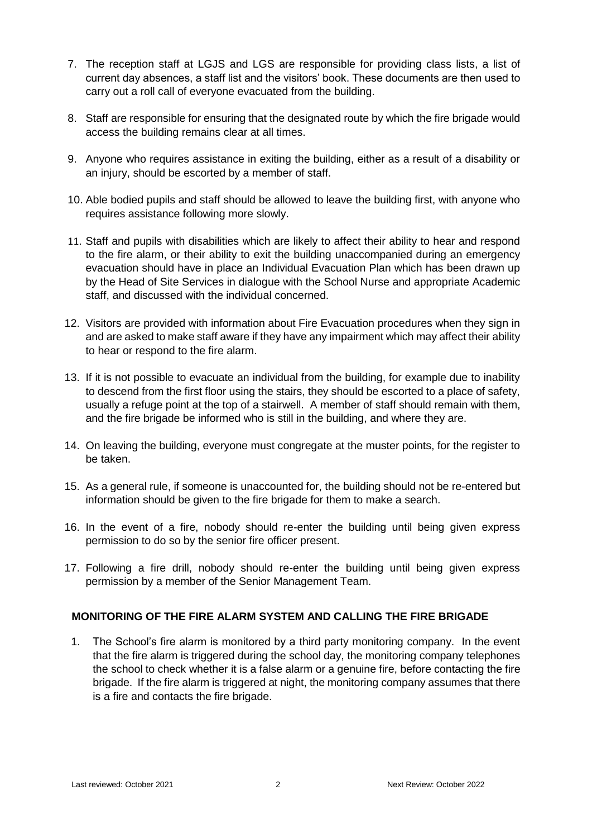- 7. The reception staff at LGJS and LGS are responsible for providing class lists, a list of current day absences, a staff list and the visitors' book. These documents are then used to carry out a roll call of everyone evacuated from the building.
- 8. Staff are responsible for ensuring that the designated route by which the fire brigade would access the building remains clear at all times.
- 9. Anyone who requires assistance in exiting the building, either as a result of a disability or an injury, should be escorted by a member of staff.
- 10. Able bodied pupils and staff should be allowed to leave the building first, with anyone who requires assistance following more slowly.
- 11. Staff and pupils with disabilities which are likely to affect their ability to hear and respond to the fire alarm, or their ability to exit the building unaccompanied during an emergency evacuation should have in place an Individual Evacuation Plan which has been drawn up by the Head of Site Services in dialogue with the School Nurse and appropriate Academic staff, and discussed with the individual concerned.
- 12. Visitors are provided with information about Fire Evacuation procedures when they sign in and are asked to make staff aware if they have any impairment which may affect their ability to hear or respond to the fire alarm.
- 13. If it is not possible to evacuate an individual from the building, for example due to inability to descend from the first floor using the stairs, they should be escorted to a place of safety, usually a refuge point at the top of a stairwell. A member of staff should remain with them, and the fire brigade be informed who is still in the building, and where they are.
- 14. On leaving the building, everyone must congregate at the muster points, for the register to be taken.
- 15. As a general rule, if someone is unaccounted for, the building should not be re-entered but information should be given to the fire brigade for them to make a search.
- 16. In the event of a fire, nobody should re-enter the building until being given express permission to do so by the senior fire officer present.
- 17. Following a fire drill, nobody should re-enter the building until being given express permission by a member of the Senior Management Team.

### **MONITORING OF THE FIRE ALARM SYSTEM AND CALLING THE FIRE BRIGADE**

1. The School's fire alarm is monitored by a third party monitoring company. In the event that the fire alarm is triggered during the school day, the monitoring company telephones the school to check whether it is a false alarm or a genuine fire, before contacting the fire brigade. If the fire alarm is triggered at night, the monitoring company assumes that there is a fire and contacts the fire brigade.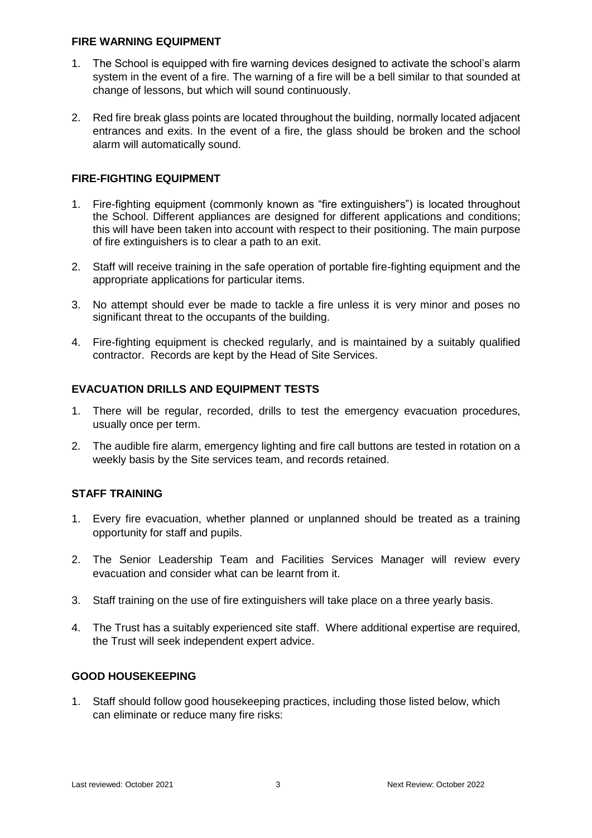#### **FIRE WARNING EQUIPMENT**

- 1. The School is equipped with fire warning devices designed to activate the school's alarm system in the event of a fire. The warning of a fire will be a bell similar to that sounded at change of lessons, but which will sound continuously.
- 2. Red fire break glass points are located throughout the building, normally located adjacent entrances and exits. In the event of a fire, the glass should be broken and the school alarm will automatically sound.

## **FIRE-FIGHTING EQUIPMENT**

- 1. Fire-fighting equipment (commonly known as "fire extinguishers") is located throughout the School. Different appliances are designed for different applications and conditions; this will have been taken into account with respect to their positioning. The main purpose of fire extinguishers is to clear a path to an exit.
- 2. Staff will receive training in the safe operation of portable fire-fighting equipment and the appropriate applications for particular items.
- 3. No attempt should ever be made to tackle a fire unless it is very minor and poses no significant threat to the occupants of the building.
- 4. Fire-fighting equipment is checked regularly, and is maintained by a suitably qualified contractor. Records are kept by the Head of Site Services.

### **EVACUATION DRILLS AND EQUIPMENT TESTS**

- 1. There will be regular, recorded, drills to test the emergency evacuation procedures, usually once per term.
- 2. The audible fire alarm, emergency lighting and fire call buttons are tested in rotation on a weekly basis by the Site services team, and records retained.

### **STAFF TRAINING**

- 1. Every fire evacuation, whether planned or unplanned should be treated as a training opportunity for staff and pupils.
- 2. The Senior Leadership Team and Facilities Services Manager will review every evacuation and consider what can be learnt from it.
- 3. Staff training on the use of fire extinguishers will take place on a three yearly basis.
- 4. The Trust has a suitably experienced site staff. Where additional expertise are required, the Trust will seek independent expert advice.

### **GOOD HOUSEKEEPING**

1. Staff should follow good housekeeping practices, including those listed below, which can eliminate or reduce many fire risks: